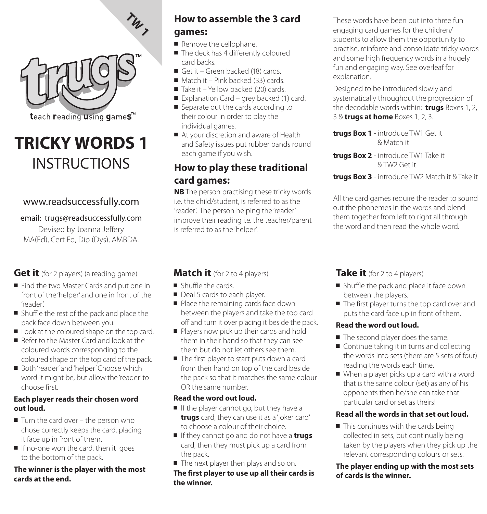

teach reading using games<sup>™</sup>

# **TRICKY WORDS 1**  INSTRUCTIONS

# www.readsuccessfully.com

#### email: trugs@readsuccessfully.com

Devised by Joanna Jeffery MA(Ed), Cert Ed, Dip (Dys), AMBDA.

### **Get it** (for 2 players) (a reading game)

- Find the two Master Cards and put one in front of the 'helper' and one in front of the 'reader'.
- Shuffle the rest of the pack and place the pack face down between you.
- Look at the coloured shape on the top card.
- Refer to the Master Card and look at the coloured words corresponding to the coloured shape on the top card of the pack.
- Both 'reader' and 'helper' Choose which word it might be, but allow the 'reader' to choose first.

#### **Each player reads their chosen word out loud.**

- Turn the card over the person who chose correctly keeps the card, placing it face up in front of them.
- If no-one won the card, then it goes to the bottom of the pack.

#### **The winner is the player with the most cards at the end.**

# **How to assemble the 3 card games:**

- Remove the cellophane.
- The deck has 4 differently coloured card backs.
- Get it Green backed (18) cards.
- Match it Pink backed (33) cards.
- Take it Yellow backed (20) cards.
- Explanation Card grey backed (1) card.
- Separate out the cards according to their colour in order to play the individual games.
- At your discretion and aware of Health and Safety issues put rubber bands round each game if you wish.

# **How to play these traditional card games:**

**NB** The person practising these tricky words i.e. the child/student, is referred to as the 'reader'. The person helping the 'reader' improve their reading i.e. the teacher/parent is referred to as the 'helper'.

#### These words have been put into three fun engaging card games for the children/ students to allow them the opportunity to practise, reinforce and consolidate tricky words and some high frequency words in a hugely fun and engaging way. See overleaf for explanation.

Designed to be introduced slowly and systematically throughout the progression of the decodable words within: **trugs** Boxes 1, 2, 3 & **trugs at home** Boxes 1, 2, 3.

**trugs Box 1** - introduce TW1 Get it & Match it

**trugs Box 2** - introduce TW1 Take it & TW2 Get it

**trugs Box 3** - introduce TW2 Match it & Take it

All the card games require the reader to sound out the phonemes in the words and blend them together from left to right all through the word and then read the whole word.

# **Match it** (for 2 to 4 players)

- Shuffle the cards.
- Deal 5 cards to each player.
- Place the remaining cards face down between the players and take the top card off and turn it over placing it beside the pack.
- Players now pick up their cards and hold them in their hand so that they can see them but do not let others see them.
- The first player to start puts down a card from their hand on top of the card beside the pack so that it matches the same colour OR the same number.

#### **Read the word out loud.**

- If the player cannot go, but they have a **trugs** card, they can use it as a 'joker card' to choose a colour of their choice.
- If they cannot go and do not have a **trugs** card, then they must pick up a card from the pack.
- The next player then plays and so on.

**The first player to use up all their cards is the winner.**

# **Take it** (for 2 to 4 players)

- Shuffle the pack and place it face down between the players.
- The first player turns the top card over and puts the card face up in front of them.

#### **Read the word out loud.**

- The second player does the same.
- Continue taking it in turns and collecting the words into sets (there are 5 sets of four) reading the words each time.
- When a player picks up a card with a word that is the same colour (set) as any of his opponents then he/she can take that particular card or set as theirs!

#### **Read all the words in that set out loud.**

■ This continues with the cards being collected in sets, but continually being taken by the players when they pick up the relevant corresponding colours or sets.

#### **The player ending up with the most sets of cards is the winner.**